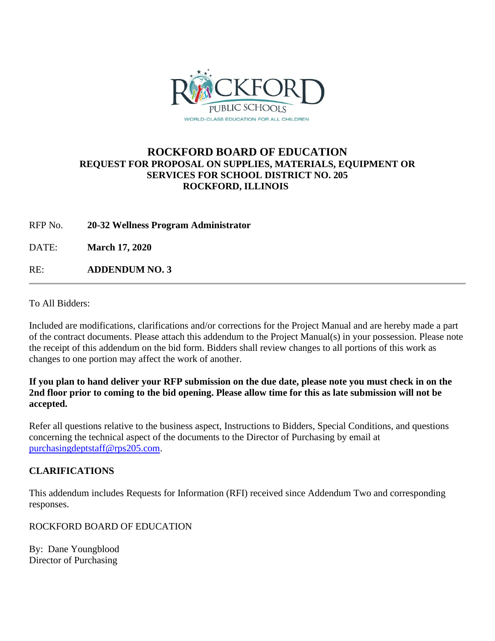

## **ROCKFORD BOARD OF EDUCATION REQUEST FOR PROPOSAL ON SUPPLIES, MATERIALS, EQUIPMENT OR SERVICES FOR SCHOOL DISTRICT NO. 205 ROCKFORD, ILLINOIS**

RFP No. **20-32 Wellness Program Administrator**

DATE: **March 17, 2020**

RE: **ADDENDUM NO. 3**

To All Bidders:

Included are modifications, clarifications and/or corrections for the Project Manual and are hereby made a part of the contract documents. Please attach this addendum to the Project Manual(s) in your possession. Please note the receipt of this addendum on the bid form. Bidders shall review changes to all portions of this work as changes to one portion may affect the work of another.

**If you plan to hand deliver your RFP submission on the due date, please note you must check in on the 2nd floor prior to coming to the bid opening. Please allow time for this as late submission will not be accepted.**

Refer all questions relative to the business aspect, Instructions to Bidders, Special Conditions, and questions concerning the technical aspect of the documents to the Director of Purchasing by email at [purchasingdeptstaff@rps205.com.](mailto:purchasingdeptstaff@rps205.com)

## **CLARIFICATIONS**

This addendum includes Requests for Information (RFI) received since Addendum Two and corresponding responses.

ROCKFORD BOARD OF EDUCATION

By: Dane Youngblood Director of Purchasing